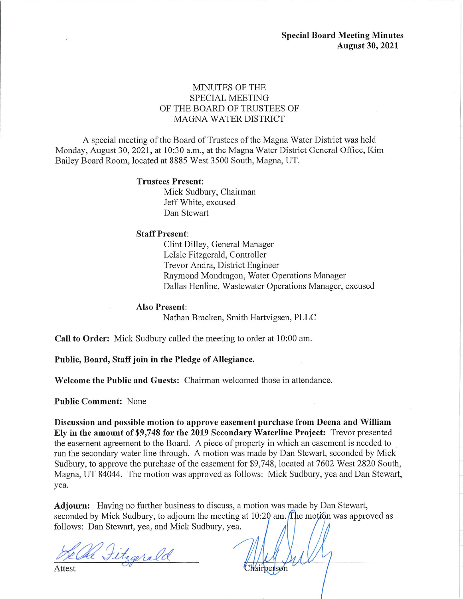### MINUTES OF THE **SPECIAL MEETING** OF THE BOARD OF TRUSTEES OF **MAGNA WATER DISTRICT**

A special meeting of the Board of Trustees of the Magna Water District was held Monday, August 30, 2021, at 10:30 a.m., at the Magna Water District General Office, Kim Bailey Board Room, located at 8885 West 3500 South, Magna, UT.

### **Trustees Present:**

Mick Sudbury, Chairman Jeff White, excused Dan Stewart

#### **Staff Present:**

Clint Dilley, General Manager LeIsle Fitzgerald, Controller Trevor Andra, District Engineer Raymond Mondragon, Water Operations Manager Dallas Henline, Wastewater Operations Manager, excused

### **Also Present:**

Nathan Bracken, Smith Hartvigsen, PLLC

Call to Order: Mick Sudbury called the meeting to order at 10:00 am.

Public, Board, Staff join in the Pledge of Allegiance.

Welcome the Public and Guests: Chairman welcomed those in attendance.

**Public Comment: None** 

Discussion and possible motion to approve easement purchase from Deena and William Ely in the amount of \$9,748 for the 2019 Secondary Waterline Project: Trevor presented the easement agreement to the Board. A piece of property in which an easement is needed to run the secondary water line through. A motion was made by Dan Stewart, seconded by Mick Sudbury, to approve the purchase of the easement for \$9,748, located at 7602 West 2820 South, Magna, UT 84044. The motion was approved as follows: Mick Sudbury, yea and Dan Stewart, yea.

Adjourn: Having no further business to discuss, a motion was made by Dan Stewart, seconded by Mick Sudbury, to adjourn the meeting at 10:20 am. The motion was approved as follows: Dan Stewart, yea, and Mick Sudbury, yea.

Oll Fitzgerald

Attest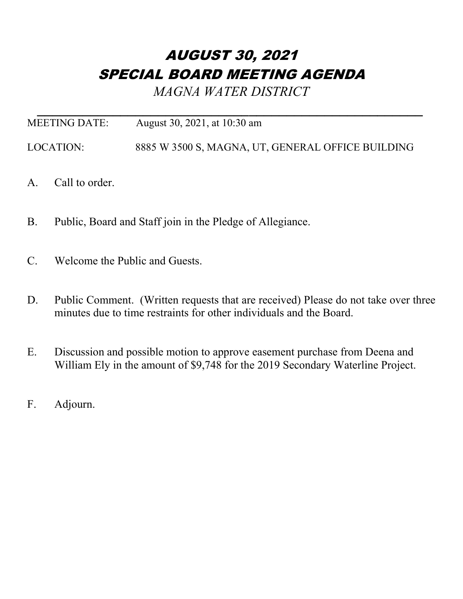# AUGUST 30, 2021 SPECIAL BOARD MEETING AGENDA

*MAGNA WATER DISTRICT*

| MEETING DATE: | August 30, 2021, at 10:30 am                      |
|---------------|---------------------------------------------------|
| LOCATION:     | 8885 W 3500 S, MAGNA, UT, GENERAL OFFICE BUILDING |

- A. Call to order.
- B. Public, Board and Staff join in the Pledge of Allegiance.
- C. Welcome the Public and Guests.
- D. Public Comment. (Written requests that are received) Please do not take over three minutes due to time restraints for other individuals and the Board.
- E. Discussion and possible motion to approve easement purchase from Deena and William Ely in the amount of \$9,748 for the 2019 Secondary Waterline Project.
- F. Adjourn.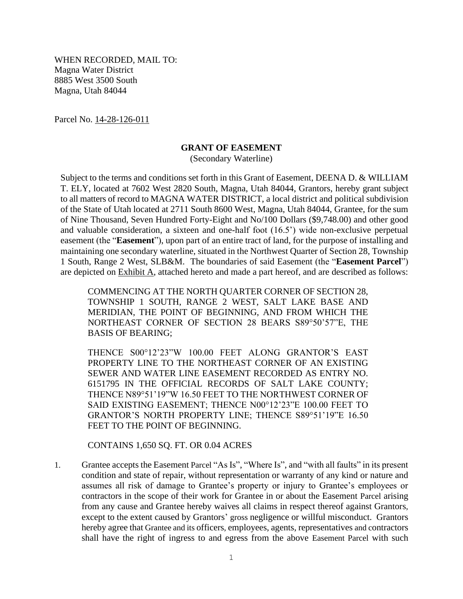WHEN RECORDED, MAIL TO: Magna Water District 8885 West 3500 South Magna, Utah 84044

Parcel No. 14-28-126-011

### **GRANT OF EASEMENT**

(Secondary Waterline)

Subject to the terms and conditions set forth in this Grant of Easement, DEENA D. & WILLIAM T. ELY, located at 7602 West 2820 South, Magna, Utah 84044, Grantors, hereby grant subject to all matters of record to MAGNA WATER DISTRICT, a local district and political subdivision of the State of Utah located at 2711 South 8600 West, Magna, Utah 84044, Grantee, for the sum of Nine Thousand, Seven Hundred Forty-Eight and No/100 Dollars (\$9,748.00) and other good and valuable consideration, a sixteen and one-half foot (16.5') wide non-exclusive perpetual easement (the "**Easement**"), upon part of an entire tract of land, for the purpose of installing and maintaining one secondary waterline, situated in the Northwest Quarter of Section 28, Township 1 South, Range 2 West, SLB&M. The boundaries of said Easement (the "**Easement Parcel**") are depicted on Exhibit A, attached hereto and made a part hereof, and are described as follows:

COMMENCING AT THE NORTH QUARTER CORNER OF SECTION 28, TOWNSHIP 1 SOUTH, RANGE 2 WEST, SALT LAKE BASE AND MERIDIAN, THE POINT OF BEGINNING, AND FROM WHICH THE NORTHEAST CORNER OF SECTION 28 BEARS S89°50'57"E, THE BASIS OF BEARING;

THENCE S00°12'23"W 100.00 FEET ALONG GRANTOR'S EAST PROPERTY LINE TO THE NORTHEAST CORNER OF AN EXISTING SEWER AND WATER LINE EASEMENT RECORDED AS ENTRY NO. 6151795 IN THE OFFICIAL RECORDS OF SALT LAKE COUNTY; THENCE N89°51'19"W 16.50 FEET TO THE NORTHWEST CORNER OF SAID EXISTING EASEMENT; THENCE N00°12'23"E 100.00 FEET TO GRANTOR'S NORTH PROPERTY LINE; THENCE S89°51'19"E 16.50 FEET TO THE POINT OF BEGINNING.

CONTAINS 1,650 SQ. FT. OR 0.04 ACRES

1. Grantee accepts the Easement Parcel "As Is", "Where Is", and "with all faults" in its present condition and state of repair, without representation or warranty of any kind or nature and assumes all risk of damage to Grantee's property or injury to Grantee's employees or contractors in the scope of their work for Grantee in or about the Easement Parcel arising from any cause and Grantee hereby waives all claims in respect thereof against Grantors, except to the extent caused by Grantors' gross negligence or willful misconduct. Grantors hereby agree that Grantee and its officers, employees, agents, representatives and contractors shall have the right of ingress to and egress from the above Easement Parcel with such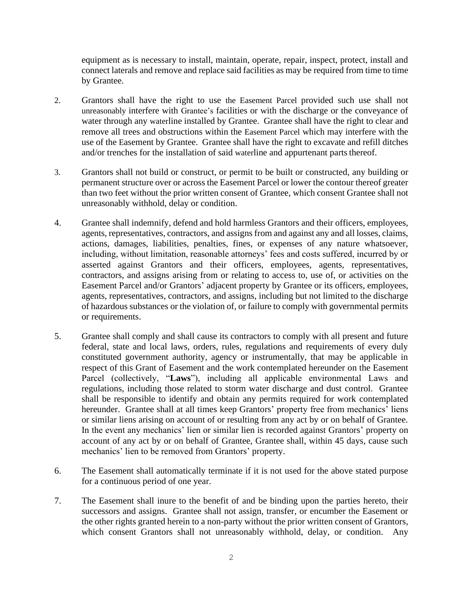equipment as is necessary to install, maintain, operate, repair, inspect, protect, install and connect laterals and remove and replace said facilities as may be required from time to time by Grantee.

- 2. Grantors shall have the right to use the Easement Parcel provided such use shall not unreasonably interfere with Grantee's facilities or with the discharge or the conveyance of water through any waterline installed by Grantee. Grantee shall have the right to clear and remove all trees and obstructions within the Easement Parcel which may interfere with the use of the Easement by Grantee. Grantee shall have the right to excavate and refill ditches and/or trenches for the installation of said waterline and appurtenant parts thereof.
- 3. Grantors shall not build or construct, or permit to be built or constructed, any building or permanent structure over or across the Easement Parcel or lower the contour thereof greater than two feet without the prior written consent of Grantee, which consent Grantee shall not unreasonably withhold, delay or condition.
- 4. Grantee shall indemnify, defend and hold harmless Grantors and their officers, employees, agents, representatives, contractors, and assigns from and against any and all losses, claims, actions, damages, liabilities, penalties, fines, or expenses of any nature whatsoever, including, without limitation, reasonable attorneys' fees and costs suffered, incurred by or asserted against Grantors and their officers, employees, agents, representatives, contractors, and assigns arising from or relating to access to, use of, or activities on the Easement Parcel and/or Grantors' adjacent property by Grantee or its officers, employees, agents, representatives, contractors, and assigns, including but not limited to the discharge of hazardous substances or the violation of, or failure to comply with governmental permits or requirements.
- 5. Grantee shall comply and shall cause its contractors to comply with all present and future federal, state and local laws, orders, rules, regulations and requirements of every duly constituted government authority, agency or instrumentally, that may be applicable in respect of this Grant of Easement and the work contemplated hereunder on the Easement Parcel (collectively, "**Laws**"), including all applicable environmental Laws and regulations, including those related to storm water discharge and dust control. Grantee shall be responsible to identify and obtain any permits required for work contemplated hereunder. Grantee shall at all times keep Grantors' property free from mechanics' liens or similar liens arising on account of or resulting from any act by or on behalf of Grantee. In the event any mechanics' lien or similar lien is recorded against Grantors' property on account of any act by or on behalf of Grantee, Grantee shall, within 45 days, cause such mechanics' lien to be removed from Grantors' property.
- 6. The Easement shall automatically terminate if it is not used for the above stated purpose for a continuous period of one year.
- 7. The Easement shall inure to the benefit of and be binding upon the parties hereto, their successors and assigns. Grantee shall not assign, transfer, or encumber the Easement or the other rights granted herein to a non-party without the prior written consent of Grantors, which consent Grantors shall not unreasonably withhold, delay, or condition. Any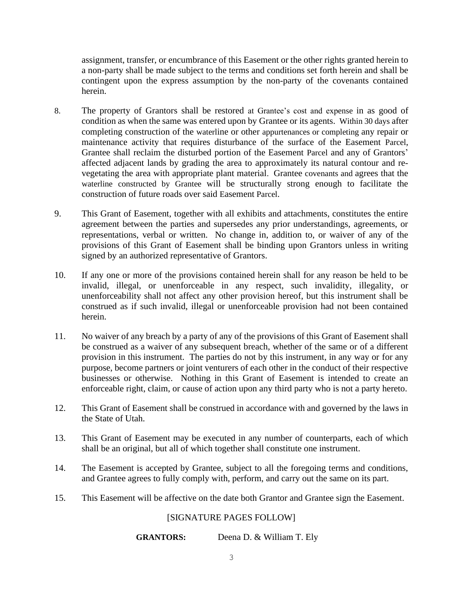assignment, transfer, or encumbrance of this Easement or the other rights granted herein to a non-party shall be made subject to the terms and conditions set forth herein and shall be contingent upon the express assumption by the non-party of the covenants contained herein.

- 8. The property of Grantors shall be restored at Grantee's cost and expense in as good of condition as when the same was entered upon by Grantee or its agents. Within 30 days after completing construction of the waterline or other appurtenances or completing any repair or maintenance activity that requires disturbance of the surface of the Easement Parcel, Grantee shall reclaim the disturbed portion of the Easement Parcel and any of Grantors' affected adjacent lands by grading the area to approximately its natural contour and revegetating the area with appropriate plant material. Grantee covenants and agrees that the waterline constructed by Grantee will be structurally strong enough to facilitate the construction of future roads over said Easement Parcel.
- 9. This Grant of Easement, together with all exhibits and attachments, constitutes the entire agreement between the parties and supersedes any prior understandings, agreements, or representations, verbal or written. No change in, addition to, or waiver of any of the provisions of this Grant of Easement shall be binding upon Grantors unless in writing signed by an authorized representative of Grantors.
- 10. If any one or more of the provisions contained herein shall for any reason be held to be invalid, illegal, or unenforceable in any respect, such invalidity, illegality, or unenforceability shall not affect any other provision hereof, but this instrument shall be construed as if such invalid, illegal or unenforceable provision had not been contained herein.
- 11. No waiver of any breach by a party of any of the provisions of this Grant of Easement shall be construed as a waiver of any subsequent breach, whether of the same or of a different provision in this instrument. The parties do not by this instrument, in any way or for any purpose, become partners or joint venturers of each other in the conduct of their respective businesses or otherwise. Nothing in this Grant of Easement is intended to create an enforceable right, claim, or cause of action upon any third party who is not a party hereto.
- 12. This Grant of Easement shall be construed in accordance with and governed by the laws in the State of Utah.
- 13. This Grant of Easement may be executed in any number of counterparts, each of which shall be an original, but all of which together shall constitute one instrument.
- 14. The Easement is accepted by Grantee, subject to all the foregoing terms and conditions, and Grantee agrees to fully comply with, perform, and carry out the same on its part.
- 15. This Easement will be affective on the date both Grantor and Grantee sign the Easement.

## [SIGNATURE PAGES FOLLOW]

**GRANTORS:** Deena D. & William T. Ely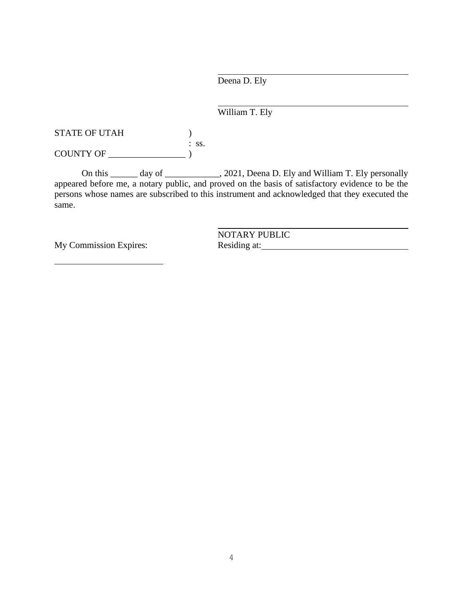Deena D. Ely

# William T. Ely

STATE OF UTAH  $)$ : ss. COUNTY OF \_\_\_\_\_\_\_\_\_\_\_\_\_\_\_\_\_ )

On this \_\_\_\_\_\_ day of \_\_\_\_\_\_\_\_\_\_\_\_, 2021, Deena D. Ely and William T. Ely personally appeared before me, a notary public, and proved on the basis of satisfactory evidence to be the persons whose names are subscribed to this instrument and acknowledged that they executed the same.

My Commission Expires: Residing at:

NOTARY PUBLIC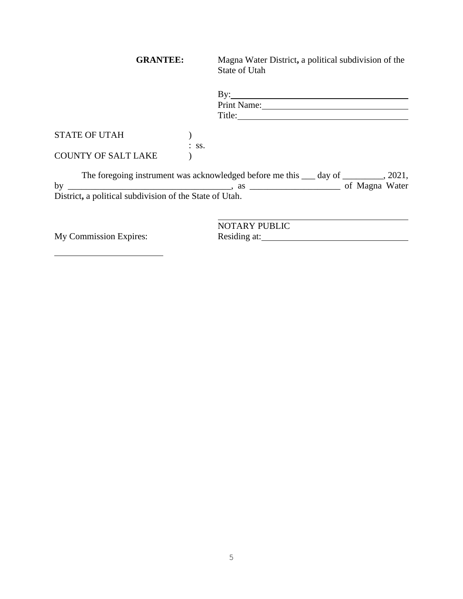| <b>GRANTEE:</b>                                         |         | Magna Water District, a political subdivision of the<br>State of Utah                               |
|---------------------------------------------------------|---------|-----------------------------------------------------------------------------------------------------|
|                                                         |         | $\mathbf{By:}$<br>Print Name:                                                                       |
|                                                         |         |                                                                                                     |
| <b>STATE OF UTAH</b>                                    |         |                                                                                                     |
| COUNTY OF SALT LAKE                                     | $:$ SS. |                                                                                                     |
|                                                         |         | The foregoing instrument was acknowledged before me this <u>equal</u> based of <u>equal</u> , 2021, |
| District, a political subdivision of the State of Utah. |         |                                                                                                     |
|                                                         |         |                                                                                                     |
|                                                         |         | <b>NOTARY PUBLIC</b>                                                                                |
| My Commission Expires:                                  |         | Residing at:                                                                                        |

My Commission Expires:

5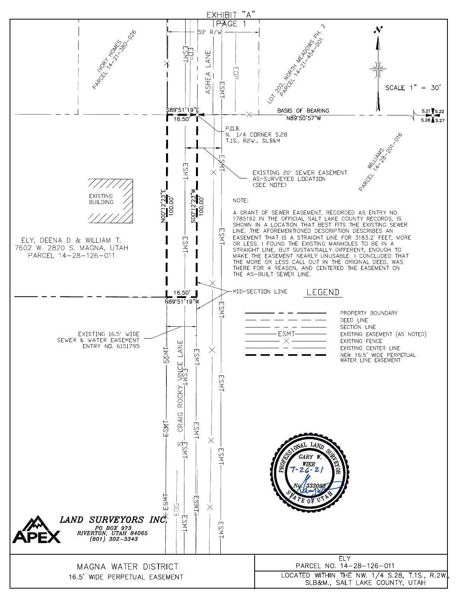